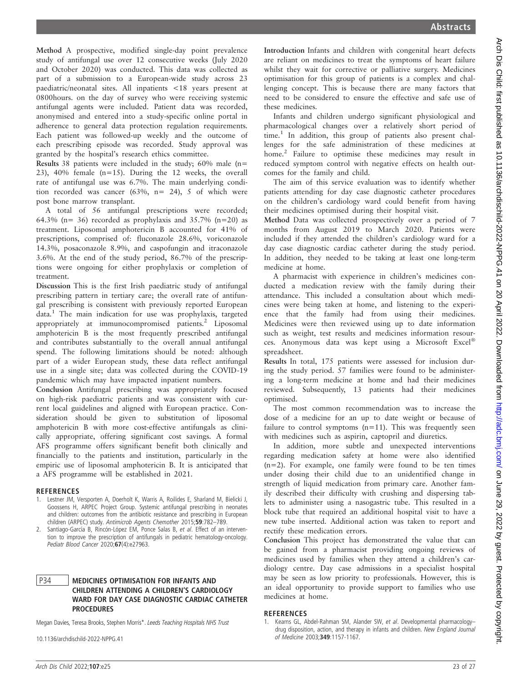Method A prospective, modified single-day point prevalence study of antifungal use over 12 consecutive weeks (July 2020 and October 2020) was conducted. This data was collected as part of a submission to a European-wide study across 23 paediatric/neonatal sites. All inpatients <18 years present at 0800hours. on the day of survey who were receiving systemic antifungal agents were included. Patient data was recorded, anonymised and entered into a study-specific online portal in adherence to general data protection regulation requirements. Each patient was followed-up weekly and the outcome of each prescribing episode was recorded. Study approval was granted by the hospital's research ethics committee.

Results 38 patients were included in the study;  $60\%$  male (n= 23), 40% female (n=15). During the 12 weeks, the overall rate of antifungal use was 6.7%. The main underlying condition recorded was cancer (63%, n= 24), 5 of which were post bone marrow transplant.

A total of 56 antifungal prescriptions were recorded; 64.3% ( $n=$  36) recorded as prophylaxis and 35.7% ( $n=20$ ) as treatment. Liposomal amphotericin B accounted for 41% of prescriptions, comprised of: fluconazole 28.6%, voriconazole 14.3%, posaconazole 8.9%, and caspofungin and itraconazole 3.6%. At the end of the study period, 86.7% of the prescriptions were ongoing for either prophylaxis or completion of treatment.

Discussion This is the first Irish paediatric study of antifungal prescribing pattern in tertiary care; the overall rate of antifungal prescribing is consistent with previously reported European data.<sup>1</sup> The main indication for use was prophylaxis, targeted appropriately at immunocompromised patients.<sup>2</sup> Liposomal amphotericin B is the most frequently prescribed antifungal and contributes substantially to the overall annual antifungal spend. The following limitations should be noted: although part of a wider European study, these data reflect antifungal use in a single site; data was collected during the COVID-19 pandemic which may have impacted inpatient numbers.

Conclusion Antifungal prescribing was appropriately focused on high-risk paediatric patients and was consistent with current local guidelines and aligned with European practice. Consideration should be given to substitution of liposomal amphotericin B with more cost-effective antifungals as clinically appropriate, offering significant cost savings. A formal AFS programme offers significant benefit both clinically and financially to the patients and institution, particularly in the empiric use of liposomal amphotericin B. It is anticipated that a AFS programme will be established in 2021.

## REFERENCES

- Lestner JM, Versporten A, Doerholt K, Warris A, Roilides E, Sharland M, Bielicki J, Goossens H, ARPEC Project Group. Systemic antifungal prescribing in neonates and children: outcomes from the antibiotic resistance and prescribing in European children (ARPEC) study. Antimicrob Agents Chemother 2015;59:782–789.
- 2. Santiago-García B, Rincón-López EM, Ponce Salas B, et al. Effect of an intervention to improve the prescription of antifungals in pediatric hematology-oncology. Pediatr Blood Cancer 2020;67(4):e27963.

# P34 | MEDICINES OPTIMISATION FOR INFANTS AND CHILDREN ATTENDING A CHILDREN'S CARDIOLOGY WARD FOR DAY CASE DIAGNOSTIC CARDIAC CATHETER PROCEDURES

Megan Davies, Teresa Brooks, Stephen Morris\*. Leeds Teaching Hospitals NHS Trust

10.1136/archdischild-2022-NPPG.41

Introduction Infants and children with congenital heart defects are reliant on medicines to treat the symptoms of heart failure whilst they wait for corrective or palliative surgery. Medicines optimisation for this group of patients is a complex and challenging concept. This is because there are many factors that need to be considered to ensure the effective and safe use of these medicines.

Infants and children undergo significant physiological and pharmacological changes over a relatively short period of time.<sup>1</sup> In addition, this group of patients also present challenges for the safe administration of these medicines at home.<sup>2</sup> Failure to optimise these medicines may result in reduced symptom control with negative effects on health outcomes for the family and child.

The aim of this service evaluation was to identify whether patients attending for day case diagnostic catheter procedures on the children's cardiology ward could benefit from having their medicines optimised during their hospital visit.

Method Data was collected prospectively over a period of 7 months from August 2019 to March 2020. Patients were included if they attended the children's cardiology ward for a day case diagnostic cardiac catheter during the study period. In addition, they needed to be taking at least one long-term medicine at home.

A pharmacist with experience in children's medicines conducted a medication review with the family during their attendance. This included a consultation about which medicines were being taken at home, and listening to the experience that the family had from using their medicines. Medicines were then reviewed using up to date information such as weight, test results and medicines information resources. Anonymous data was kept using a Microsoft Excel® spreadsheet.

Results In total, 175 patients were assessed for inclusion during the study period. 57 families were found to be administering a long-term medicine at home and had their medicines reviewed. Subsequently, 13 patients had their medicines optimised.

The most common recommendation was to increase the dose of a medicine for an up to date weight or because of failure to control symptoms  $(n=11)$ . This was frequently seen with medicines such as aspirin, captopril and diuretics.

In addition, more subtle and unexpected interventions regarding medication safety at home were also identified (n=2). For example, one family were found to be ten times under dosing their child due to an unidentified change in strength of liquid medication from primary care. Another family described their difficulty with crushing and dispersing tablets to administer using a nasogastric tube. This resulted in a block tube that required an additional hospital visit to have a new tube inserted. Additional action was taken to report and rectify these medication errors.

Conclusion This project has demonstrated the value that can be gained from a pharmacist providing ongoing reviews of medicines used by families when they attend a children's cardiology centre. Day case admissions in a specialist hospital may be seen as low priority to professionals. However, this is an ideal opportunity to provide support to families who use medicines at home.

## **REFERENCES**

<sup>1.</sup> Kearns GL, Abdel-Rahman SM, Alander SW, et al. Developmental pharmacologydrug disposition, action, and therapy in infants and children. New England Journal of Medicine 2003;349:1157-1167.